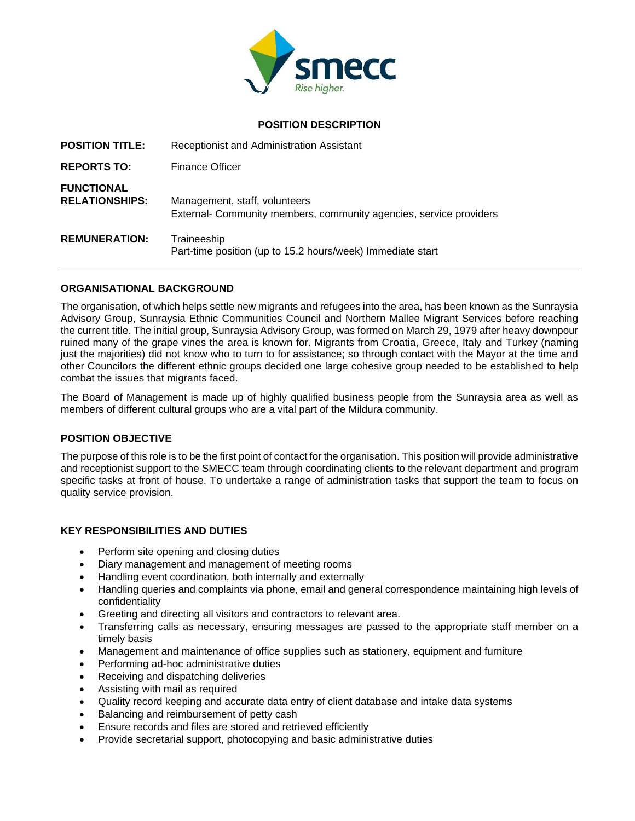

## **POSITION DESCRIPTION**

| <b>POSITION TITLE:</b>                     | Receptionist and Administration Assistant                                                           |
|--------------------------------------------|-----------------------------------------------------------------------------------------------------|
| <b>REPORTS TO:</b>                         | <b>Finance Officer</b>                                                                              |
| <b>FUNCTIONAL</b><br><b>RELATIONSHIPS:</b> | Management, staff, volunteers<br>External- Community members, community agencies, service providers |
| <b>REMUNERATION:</b>                       | Traineeship<br>Part-time position (up to 15.2 hours/week) Immediate start                           |

## **ORGANISATIONAL BACKGROUND**

The organisation, of which helps settle new migrants and refugees into the area, has been known as the Sunraysia Advisory Group, Sunraysia Ethnic Communities Council and Northern Mallee Migrant Services before reaching the current title. The initial group, Sunraysia Advisory Group, was formed on March 29, 1979 after heavy downpour ruined many of the grape vines the area is known for. Migrants from Croatia, Greece, Italy and Turkey (naming just the majorities) did not know who to turn to for assistance; so through contact with the Mayor at the time and other Councilors the different ethnic groups decided one large cohesive group needed to be established to help combat the issues that migrants faced.

The Board of Management is made up of highly qualified business people from the Sunraysia area as well as members of different cultural groups who are a vital part of the Mildura community.

## **POSITION OBJECTIVE**

The purpose of this role is to be the first point of contact for the organisation. This position will provide administrative and receptionist support to the SMECC team through coordinating clients to the relevant department and program specific tasks at front of house. To undertake a range of administration tasks that support the team to focus on quality service provision.

## **KEY RESPONSIBILITIES AND DUTIES**

- Perform site opening and closing duties
- Diary management and management of meeting rooms
- Handling event coordination, both internally and externally
- Handling queries and complaints via phone, email and general correspondence maintaining high levels of confidentiality
- Greeting and directing all visitors and contractors to relevant area.
- Transferring calls as necessary, ensuring messages are passed to the appropriate staff member on a timely basis
- Management and maintenance of office supplies such as stationery, equipment and furniture
- Performing ad-hoc administrative duties
- Receiving and dispatching deliveries
- Assisting with mail as required
- Quality record keeping and accurate data entry of client database and intake data systems
- Balancing and reimbursement of petty cash
- Ensure records and files are stored and retrieved efficiently
- Provide secretarial support, photocopying and basic administrative duties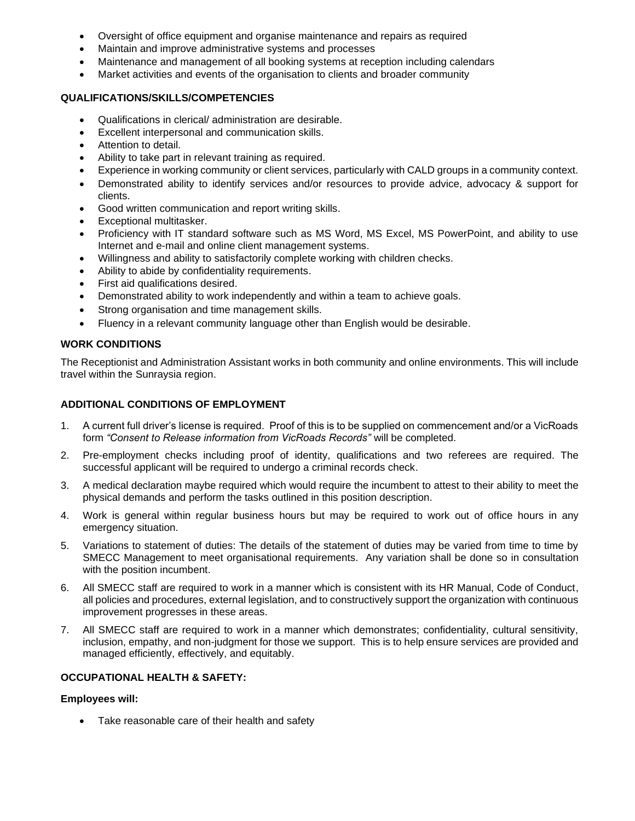- Oversight of office equipment and organise maintenance and repairs as required
- Maintain and improve administrative systems and processes
- Maintenance and management of all booking systems at reception including calendars
- Market activities and events of the organisation to clients and broader community

### **QUALIFICATIONS/SKILLS/COMPETENCIES**

- Qualifications in clerical/ administration are desirable.
- Excellent interpersonal and communication skills.
- Attention to detail.
- Ability to take part in relevant training as required.
- Experience in working community or client services, particularly with CALD groups in a community context.
- Demonstrated ability to identify services and/or resources to provide advice, advocacy & support for clients.
- Good written communication and report writing skills.
- Exceptional multitasker.
- Proficiency with IT standard software such as MS Word, MS Excel, MS PowerPoint, and ability to use Internet and e-mail and online client management systems.
- Willingness and ability to satisfactorily complete working with children checks.
- Ability to abide by confidentiality requirements.
- First aid qualifications desired.
- Demonstrated ability to work independently and within a team to achieve goals.
- Strong organisation and time management skills.
- Fluency in a relevant community language other than English would be desirable.

## **WORK CONDITIONS**

The Receptionist and Administration Assistant works in both community and online environments. This will include travel within the Sunraysia region.

## **ADDITIONAL CONDITIONS OF EMPLOYMENT**

- 1. A current full driver's license is required. Proof of this is to be supplied on commencement and/or a VicRoads form *"Consent to Release information from VicRoads Records"* will be completed.
- 2. Pre-employment checks including proof of identity, qualifications and two referees are required. The successful applicant will be required to undergo a criminal records check.
- 3. A medical declaration maybe required which would require the incumbent to attest to their ability to meet the physical demands and perform the tasks outlined in this position description.
- 4. Work is general within regular business hours but may be required to work out of office hours in any emergency situation.
- 5. Variations to statement of duties: The details of the statement of duties may be varied from time to time by SMECC Management to meet organisational requirements. Any variation shall be done so in consultation with the position incumbent.
- 6. All SMECC staff are required to work in a manner which is consistent with its HR Manual, Code of Conduct, all policies and procedures, external legislation, and to constructively support the organization with continuous improvement progresses in these areas.
- 7. All SMECC staff are required to work in a manner which demonstrates; confidentiality, cultural sensitivity, inclusion, empathy, and non-judgment for those we support. This is to help ensure services are provided and managed efficiently, effectively, and equitably.

#### **OCCUPATIONAL HEALTH & SAFETY:**

# **Employees will:**

• Take reasonable care of their health and safety